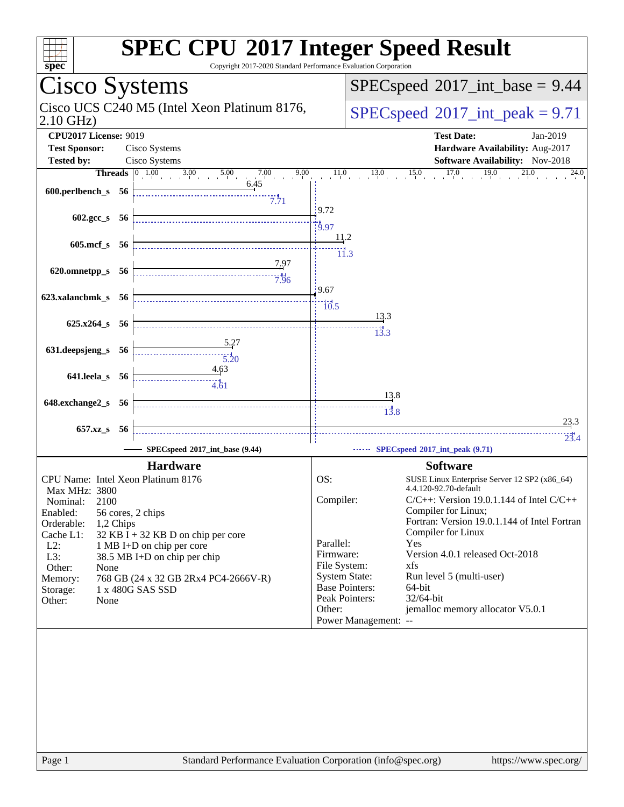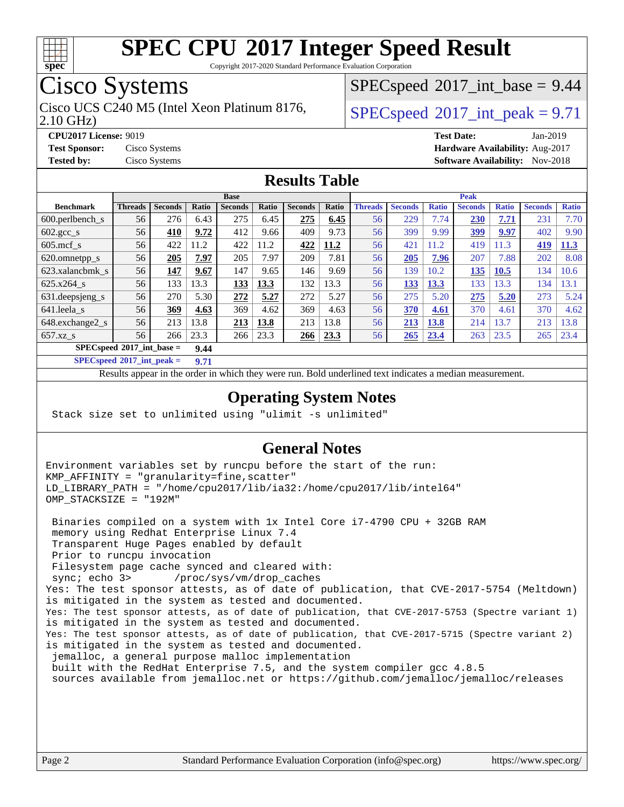

Copyright 2017-2020 Standard Performance Evaluation Corporation

## Cisco Systems

2.10 GHz) Cisco UCS C240 M5 (Intel Xeon Platinum 8176,  $\vert$  [SPECspeed](http://www.spec.org/auto/cpu2017/Docs/result-fields.html#SPECspeed2017intpeak)®[2017\\_int\\_peak = 9](http://www.spec.org/auto/cpu2017/Docs/result-fields.html#SPECspeed2017intpeak).71

 $SPECspeed^{\circ}2017\_int\_base = 9.44$  $SPECspeed^{\circ}2017\_int\_base = 9.44$ 

**[CPU2017 License:](http://www.spec.org/auto/cpu2017/Docs/result-fields.html#CPU2017License)** 9019 **[Test Date:](http://www.spec.org/auto/cpu2017/Docs/result-fields.html#TestDate)** Jan-2019 **[Test Sponsor:](http://www.spec.org/auto/cpu2017/Docs/result-fields.html#TestSponsor)** Cisco Systems **[Hardware Availability:](http://www.spec.org/auto/cpu2017/Docs/result-fields.html#HardwareAvailability)** Aug-2017 **[Tested by:](http://www.spec.org/auto/cpu2017/Docs/result-fields.html#Testedby)** Cisco Systems **[Software Availability:](http://www.spec.org/auto/cpu2017/Docs/result-fields.html#SoftwareAvailability)** Nov-2018

#### **[Results Table](http://www.spec.org/auto/cpu2017/Docs/result-fields.html#ResultsTable)**

|                                            | <b>Base</b>    |                |       |                |       | <b>Peak</b>    |       |                |                |              |                |              |                |              |
|--------------------------------------------|----------------|----------------|-------|----------------|-------|----------------|-------|----------------|----------------|--------------|----------------|--------------|----------------|--------------|
| <b>Benchmark</b>                           | <b>Threads</b> | <b>Seconds</b> | Ratio | <b>Seconds</b> | Ratio | <b>Seconds</b> | Ratio | <b>Threads</b> | <b>Seconds</b> | <b>Ratio</b> | <b>Seconds</b> | <b>Ratio</b> | <b>Seconds</b> | <b>Ratio</b> |
| 600.perlbench s                            | 56             | 276            | 6.43  | 275            | 6.45  | 275            | 6.45  | 56             | 229            | 7.74         | 230            | 7.71         | 231            | 7.70         |
| $602.\text{gcc}\_\text{s}$                 | 56             | 410            | 9.72  | 412            | 9.66  | 409            | 9.73  | 56             | 399            | 9.99         | <u>399</u>     | 9.97         | 402            | 9.90         |
| $605$ .mcf s                               | 56             | 422            | 11.2  | 422            | 11.2  | 422            | 11.2  | 56             | 421            | 11.2         | 419            | 11.3         | 419            | <u>11.3</u>  |
| 620.omnetpp_s                              | 56             | 205            | 7.97  | 205            | 7.97  | 209            | 7.81  | 56             | 205            | 7.96         | 207            | 7.88         | 202            | 8.08         |
| 623.xalancbmk s                            | 56             | 147            | 9.67  | 147            | 9.65  | 146            | 9.69  | 56             | 139            | 10.2         | 135            | 10.5         | 134            | 10.6         |
| 625.x264 s                                 | 56             | 133            | 13.3  | 133            | 13.3  | 132            | 13.3  | 56             | 133            | 13.3         | 133            | 13.3         | 134            | 13.1         |
| 631.deepsjeng_s                            | 56             | 270            | 5.30  | 272            | 5.27  | 272            | 5.27  | 56             | 275            | 5.20         | 275            | 5.20         | 273            | 5.24         |
| $641$ .leela_s                             | 56             | 369            | 4.63  | 369            | 4.62  | 369            | 4.63  | 56             | 370            | 4.61         | 370            | 4.61         | 370            | 4.62         |
| 648.exchange2_s                            | 56             | 213            | 13.8  | 213            | 13.8  | 213            | 13.8  | 56             | 213            | 13.8         | 214            | 13.7         | 213            | 13.8         |
| $657.xz$ s                                 | 56             | 266            | 23.3  | 266            | 23.3  | <b>266</b>     | 23.3  | 56             | 265            | 23.4         | 263            | 23.5         | 265            | 23.4         |
| $SPECspeed^{\circ}2017$ int base =<br>9.44 |                |                |       |                |       |                |       |                |                |              |                |              |                |              |

**[SPECspeed](http://www.spec.org/auto/cpu2017/Docs/result-fields.html#SPECspeed2017intpeak)[2017\\_int\\_peak =](http://www.spec.org/auto/cpu2017/Docs/result-fields.html#SPECspeed2017intpeak) 9.71**

Results appear in the [order in which they were run.](http://www.spec.org/auto/cpu2017/Docs/result-fields.html#RunOrder) Bold underlined text [indicates a median measurement](http://www.spec.org/auto/cpu2017/Docs/result-fields.html#Median).

#### **[Operating System Notes](http://www.spec.org/auto/cpu2017/Docs/result-fields.html#OperatingSystemNotes)**

Stack size set to unlimited using "ulimit -s unlimited"

#### **[General Notes](http://www.spec.org/auto/cpu2017/Docs/result-fields.html#GeneralNotes)**

Environment variables set by runcpu before the start of the run: KMP\_AFFINITY = "granularity=fine,scatter" LD\_LIBRARY\_PATH = "/home/cpu2017/lib/ia32:/home/cpu2017/lib/intel64" OMP\_STACKSIZE = "192M"

 Binaries compiled on a system with 1x Intel Core i7-4790 CPU + 32GB RAM memory using Redhat Enterprise Linux 7.4 Transparent Huge Pages enabled by default Prior to runcpu invocation Filesystem page cache synced and cleared with: sync; echo 3> /proc/sys/vm/drop\_caches Yes: The test sponsor attests, as of date of publication, that CVE-2017-5754 (Meltdown) is mitigated in the system as tested and documented. Yes: The test sponsor attests, as of date of publication, that CVE-2017-5753 (Spectre variant 1) is mitigated in the system as tested and documented. Yes: The test sponsor attests, as of date of publication, that CVE-2017-5715 (Spectre variant 2) is mitigated in the system as tested and documented. jemalloc, a general purpose malloc implementation built with the RedHat Enterprise 7.5, and the system compiler gcc 4.8.5 sources available from jemalloc.net or<https://github.com/jemalloc/jemalloc/releases>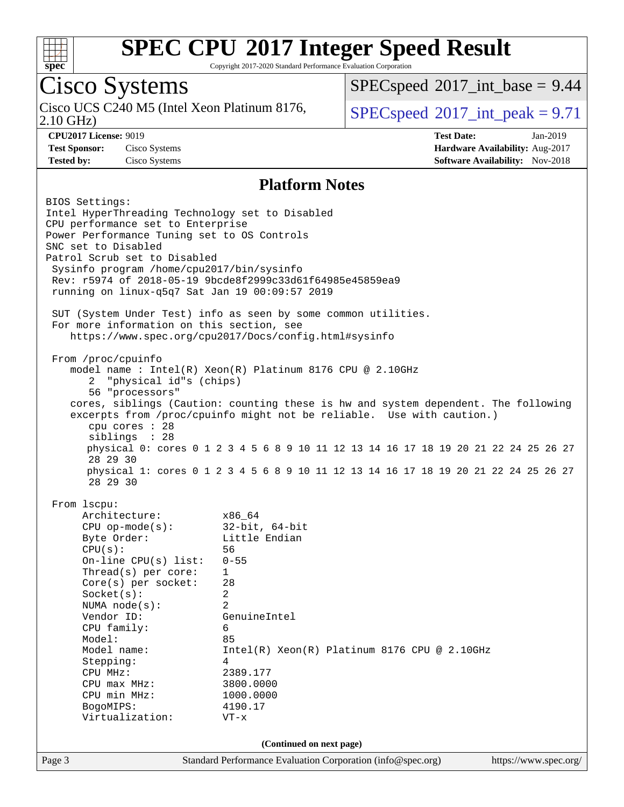

Copyright 2017-2020 Standard Performance Evaluation Corporation

## Cisco Systems

2.10 GHz) Cisco UCS C240 M5 (Intel Xeon Platinum 8176,  $\vert$  [SPECspeed](http://www.spec.org/auto/cpu2017/Docs/result-fields.html#SPECspeed2017intpeak)®[2017\\_int\\_peak = 9](http://www.spec.org/auto/cpu2017/Docs/result-fields.html#SPECspeed2017intpeak).71

 $SPECspeed^{\circ}2017\_int\_base = 9.44$  $SPECspeed^{\circ}2017\_int\_base = 9.44$ 

**[CPU2017 License:](http://www.spec.org/auto/cpu2017/Docs/result-fields.html#CPU2017License)** 9019 **[Test Date:](http://www.spec.org/auto/cpu2017/Docs/result-fields.html#TestDate)** Jan-2019 **[Test Sponsor:](http://www.spec.org/auto/cpu2017/Docs/result-fields.html#TestSponsor)** Cisco Systems **[Hardware Availability:](http://www.spec.org/auto/cpu2017/Docs/result-fields.html#HardwareAvailability)** Aug-2017 **[Tested by:](http://www.spec.org/auto/cpu2017/Docs/result-fields.html#Testedby)** Cisco Systems **[Software Availability:](http://www.spec.org/auto/cpu2017/Docs/result-fields.html#SoftwareAvailability)** Nov-2018

#### **[Platform Notes](http://www.spec.org/auto/cpu2017/Docs/result-fields.html#PlatformNotes)**

Page 3 Standard Performance Evaluation Corporation [\(info@spec.org\)](mailto:info@spec.org) <https://www.spec.org/> BIOS Settings: Intel HyperThreading Technology set to Disabled CPU performance set to Enterprise Power Performance Tuning set to OS Controls SNC set to Disabled Patrol Scrub set to Disabled Sysinfo program /home/cpu2017/bin/sysinfo Rev: r5974 of 2018-05-19 9bcde8f2999c33d61f64985e45859ea9 running on linux-q5q7 Sat Jan 19 00:09:57 2019 SUT (System Under Test) info as seen by some common utilities. For more information on this section, see <https://www.spec.org/cpu2017/Docs/config.html#sysinfo> From /proc/cpuinfo model name : Intel(R) Xeon(R) Platinum 8176 CPU @ 2.10GHz 2 "physical id"s (chips) 56 "processors" cores, siblings (Caution: counting these is hw and system dependent. The following excerpts from /proc/cpuinfo might not be reliable. Use with caution.) cpu cores : 28 siblings : 28 physical 0: cores 0 1 2 3 4 5 6 8 9 10 11 12 13 14 16 17 18 19 20 21 22 24 25 26 27 28 29 30 physical 1: cores 0 1 2 3 4 5 6 8 9 10 11 12 13 14 16 17 18 19 20 21 22 24 25 26 27 28 29 30 From lscpu: Architecture: x86\_64 CPU op-mode(s): 32-bit, 64-bit Byte Order: Little Endian CPU(s): 56 On-line CPU(s) list: 0-55 Thread(s) per core: 1 Core(s) per socket: 28 Socket(s): 2 NUMA node(s): 2 Vendor ID: GenuineIntel CPU family: 6 Model: 85 Model name: Intel(R) Xeon(R) Platinum 8176 CPU @ 2.10GHz Stepping: 4 CPU MHz: 2389.177 CPU max MHz: 3800.0000 CPU min MHz: 1000.0000 BogoMIPS: 4190.17 Virtualization: VT-x **(Continued on next page)**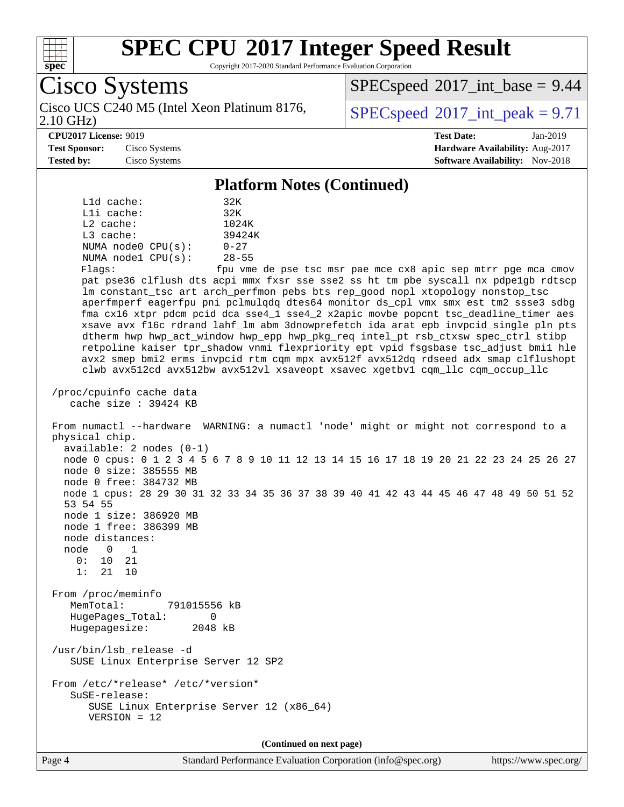

Copyright 2017-2020 Standard Performance Evaluation Corporation

Cisco Systems 2.10 GHz) Cisco UCS C240 M5 (Intel Xeon Platinum 8176,  $\vert$  [SPECspeed](http://www.spec.org/auto/cpu2017/Docs/result-fields.html#SPECspeed2017intpeak)®[2017\\_int\\_peak = 9](http://www.spec.org/auto/cpu2017/Docs/result-fields.html#SPECspeed2017intpeak).71  $SPECspeed^{\circ}2017\_int\_base = 9.44$  $SPECspeed^{\circ}2017\_int\_base = 9.44$ **[CPU2017 License:](http://www.spec.org/auto/cpu2017/Docs/result-fields.html#CPU2017License)** 9019 **[Test Date:](http://www.spec.org/auto/cpu2017/Docs/result-fields.html#TestDate)** Jan-2019 **[Test Sponsor:](http://www.spec.org/auto/cpu2017/Docs/result-fields.html#TestSponsor)** Cisco Systems **[Hardware Availability:](http://www.spec.org/auto/cpu2017/Docs/result-fields.html#HardwareAvailability)** Aug-2017 **[Tested by:](http://www.spec.org/auto/cpu2017/Docs/result-fields.html#Testedby)** Cisco Systems **[Software Availability:](http://www.spec.org/auto/cpu2017/Docs/result-fields.html#SoftwareAvailability)** Nov-2018 **[Platform Notes \(Continued\)](http://www.spec.org/auto/cpu2017/Docs/result-fields.html#PlatformNotes)** L1d cache: 32K L1i cache: 32K L2 cache: 1024K L3 cache: 39424K NUMA node0 CPU(s): 0-27 NUMA node1 CPU(s): 28-55 Flags: fpu vme de pse tsc msr pae mce cx8 apic sep mtrr pge mca cmov pat pse36 clflush dts acpi mmx fxsr sse sse2 ss ht tm pbe syscall nx pdpe1gb rdtscp lm constant\_tsc art arch\_perfmon pebs bts rep\_good nopl xtopology nonstop\_tsc aperfmperf eagerfpu pni pclmulqdq dtes64 monitor ds\_cpl vmx smx est tm2 ssse3 sdbg fma cx16 xtpr pdcm pcid dca sse4\_1 sse4\_2 x2apic movbe popcnt tsc\_deadline\_timer aes xsave avx f16c rdrand lahf\_lm abm 3dnowprefetch ida arat epb invpcid\_single pln pts dtherm hwp hwp\_act\_window hwp\_epp hwp\_pkg\_req intel\_pt rsb\_ctxsw spec\_ctrl stibp retpoline kaiser tpr\_shadow vnmi flexpriority ept vpid fsgsbase tsc\_adjust bmi1 hle avx2 smep bmi2 erms invpcid rtm cqm mpx avx512f avx512dq rdseed adx smap clflushopt clwb avx512cd avx512bw avx512vl xsaveopt xsavec xgetbv1 cqm\_llc cqm\_occup\_llc /proc/cpuinfo cache data cache size : 39424 KB From numactl --hardware WARNING: a numactl 'node' might or might not correspond to a physical chip. available: 2 nodes (0-1) node 0 cpus: 0 1 2 3 4 5 6 7 8 9 10 11 12 13 14 15 16 17 18 19 20 21 22 23 24 25 26 27 node 0 size: 385555 MB node 0 free: 384732 MB node 1 cpus: 28 29 30 31 32 33 34 35 36 37 38 39 40 41 42 43 44 45 46 47 48 49 50 51 52 53 54 55 node 1 size: 386920 MB node 1 free: 386399 MB node distances: node 0 1 0: 10 21 1: 21 10 From /proc/meminfo MemTotal: 791015556 kB HugePages\_Total: 0 Hugepagesize: 2048 kB /usr/bin/lsb\_release -d SUSE Linux Enterprise Server 12 SP2 From /etc/\*release\* /etc/\*version\* SuSE-release: SUSE Linux Enterprise Server 12 (x86\_64) VERSION = 12 **(Continued on next page)**

Page 4 Standard Performance Evaluation Corporation [\(info@spec.org\)](mailto:info@spec.org) <https://www.spec.org/>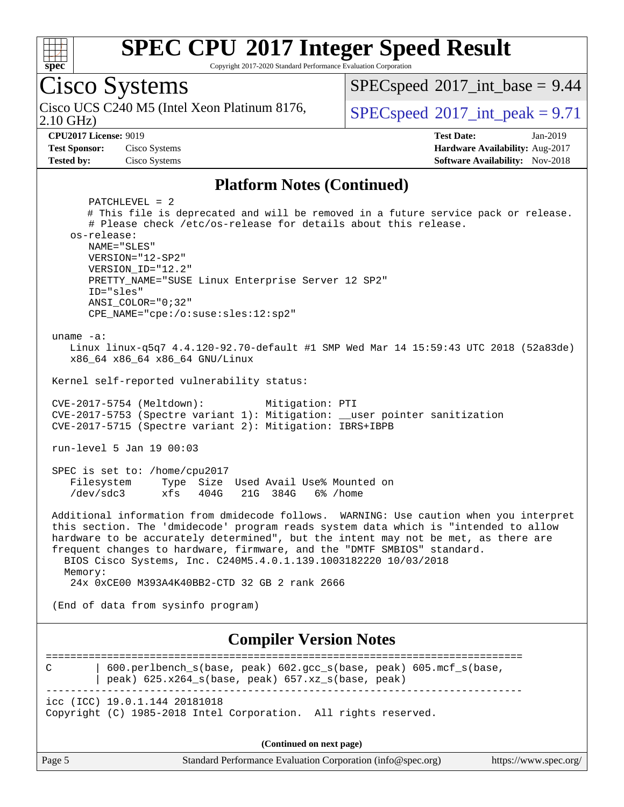

Copyright 2017-2020 Standard Performance Evaluation Corporation

Cisco Systems 2.10 GHz) Cisco UCS C240 M5 (Intel Xeon Platinum 8176,  $\vert$  [SPECspeed](http://www.spec.org/auto/cpu2017/Docs/result-fields.html#SPECspeed2017intpeak)®[2017\\_int\\_peak = 9](http://www.spec.org/auto/cpu2017/Docs/result-fields.html#SPECspeed2017intpeak).71  $SPECspeed^{\circledcirc}2017\_int\_base = 9.44$  $SPECspeed^{\circledcirc}2017\_int\_base = 9.44$ **[CPU2017 License:](http://www.spec.org/auto/cpu2017/Docs/result-fields.html#CPU2017License)** 9019 **[Test Date:](http://www.spec.org/auto/cpu2017/Docs/result-fields.html#TestDate)** Jan-2019 **[Test Sponsor:](http://www.spec.org/auto/cpu2017/Docs/result-fields.html#TestSponsor)** Cisco Systems **[Hardware Availability:](http://www.spec.org/auto/cpu2017/Docs/result-fields.html#HardwareAvailability)** Aug-2017 **[Tested by:](http://www.spec.org/auto/cpu2017/Docs/result-fields.html#Testedby)** Cisco Systems **[Software Availability:](http://www.spec.org/auto/cpu2017/Docs/result-fields.html#SoftwareAvailability)** Nov-2018 **[Platform Notes \(Continued\)](http://www.spec.org/auto/cpu2017/Docs/result-fields.html#PlatformNotes)** PATCHLEVEL = 2 # This file is deprecated and will be removed in a future service pack or release. # Please check /etc/os-release for details about this release. os-release: NAME="SLES" VERSION="12-SP2" VERSION\_ID="12.2" PRETTY\_NAME="SUSE Linux Enterprise Server 12 SP2" ID="sles" ANSI\_COLOR="0;32" CPE\_NAME="cpe:/o:suse:sles:12:sp2" uname -a: Linux linux-q5q7 4.4.120-92.70-default #1 SMP Wed Mar 14 15:59:43 UTC 2018 (52a83de) x86\_64 x86\_64 x86\_64 GNU/Linux Kernel self-reported vulnerability status: CVE-2017-5754 (Meltdown): Mitigation: PTI CVE-2017-5753 (Spectre variant 1): Mitigation: \_\_user pointer sanitization CVE-2017-5715 (Spectre variant 2): Mitigation: IBRS+IBPB run-level 5 Jan 19 00:03 SPEC is set to: /home/cpu2017 Filesystem Type Size Used Avail Use% Mounted on /dev/sdc3 xfs 404G 21G 384G 6% /home Additional information from dmidecode follows. WARNING: Use caution when you interpret this section. The 'dmidecode' program reads system data which is "intended to allow hardware to be accurately determined", but the intent may not be met, as there are frequent changes to hardware, firmware, and the "DMTF SMBIOS" standard. BIOS Cisco Systems, Inc. C240M5.4.0.1.139.1003182220 10/03/2018 Memory: 24x 0xCE00 M393A4K40BB2-CTD 32 GB 2 rank 2666 (End of data from sysinfo program) **[Compiler Version Notes](http://www.spec.org/auto/cpu2017/Docs/result-fields.html#CompilerVersionNotes)** ============================================================================== C | 600.perlbench\_s(base, peak) 602.gcc\_s(base, peak) 605.mcf\_s(base,  $|$  peak) 625.x264\_s(base, peak) 657.xz\_s(base, peak) ----------------------------------------------------------------------------- icc (ICC) 19.0.1.144 20181018 Copyright (C) 1985-2018 Intel Corporation. All rights reserved.

**(Continued on next page)**

| Page 5 | Standard Performance Evaluation Corporation (info@spec.org) |  | https://www.spec.org/ |
|--------|-------------------------------------------------------------|--|-----------------------|
|--------|-------------------------------------------------------------|--|-----------------------|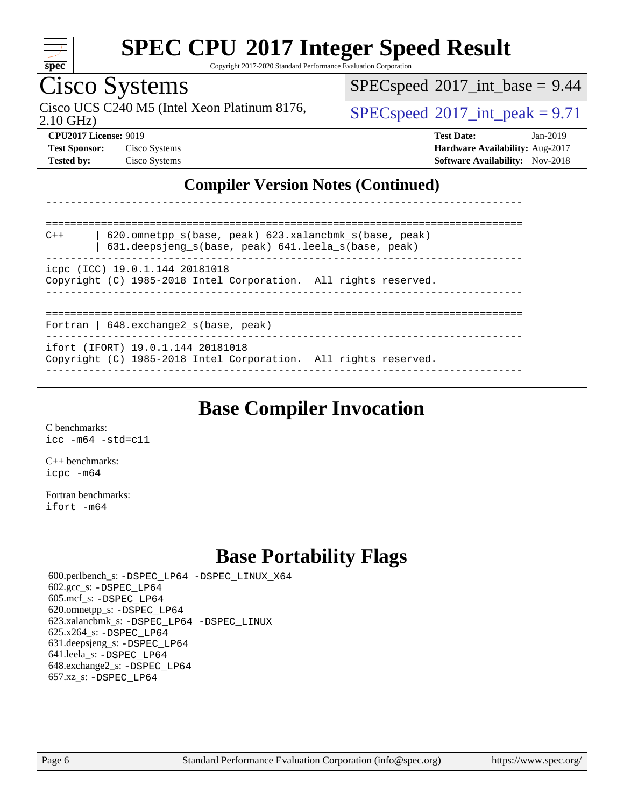

Copyright 2017-2020 Standard Performance Evaluation Corporation

## Cisco Systems

2.10 GHz) Cisco UCS C240 M5 (Intel Xeon Platinum 8176,  $SPECspeed@2017$  $SPECspeed@2017$  int peak = 9.71

 $SPECspeed^{\circledcirc}2017\_int\_base = 9.44$  $SPECspeed^{\circledcirc}2017\_int\_base = 9.44$ 

**[CPU2017 License:](http://www.spec.org/auto/cpu2017/Docs/result-fields.html#CPU2017License)** 9019 **[Test Date:](http://www.spec.org/auto/cpu2017/Docs/result-fields.html#TestDate)** Jan-2019 **[Test Sponsor:](http://www.spec.org/auto/cpu2017/Docs/result-fields.html#TestSponsor)** Cisco Systems **[Hardware Availability:](http://www.spec.org/auto/cpu2017/Docs/result-fields.html#HardwareAvailability)** Aug-2017 **[Tested by:](http://www.spec.org/auto/cpu2017/Docs/result-fields.html#Testedby)** Cisco Systems **[Software Availability:](http://www.spec.org/auto/cpu2017/Docs/result-fields.html#SoftwareAvailability)** Nov-2018

#### **[Compiler Version Notes \(Continued\)](http://www.spec.org/auto/cpu2017/Docs/result-fields.html#CompilerVersionNotes)**

| 620.omnetpp s(base, peak) 623.xalancbmk s(base, peak)<br>$C++$<br>631.deepsjeng_s(base, peak) 641.leela_s(base, peak) |  |  |  |  |  |
|-----------------------------------------------------------------------------------------------------------------------|--|--|--|--|--|
| icpc (ICC) 19.0.1.144 20181018<br>Copyright (C) 1985-2018 Intel Corporation. All rights reserved.                     |  |  |  |  |  |
| Fortran   $648$ . exchange2 $s$ (base, peak)                                                                          |  |  |  |  |  |
| ifort (IFORT) 19.0.1.144 20181018<br>Copyright (C) 1985-2018 Intel Corporation. All rights reserved.                  |  |  |  |  |  |

------------------------------------------------------------------------------

**[Base Compiler Invocation](http://www.spec.org/auto/cpu2017/Docs/result-fields.html#BaseCompilerInvocation)**

[C benchmarks](http://www.spec.org/auto/cpu2017/Docs/result-fields.html#Cbenchmarks): [icc -m64 -std=c11](http://www.spec.org/cpu2017/results/res2019q1/cpu2017-20190205-11033.flags.html#user_CCbase_intel_icc_64bit_c11_33ee0cdaae7deeeab2a9725423ba97205ce30f63b9926c2519791662299b76a0318f32ddfffdc46587804de3178b4f9328c46fa7c2b0cd779d7a61945c91cd35)

[C++ benchmarks:](http://www.spec.org/auto/cpu2017/Docs/result-fields.html#CXXbenchmarks) [icpc -m64](http://www.spec.org/cpu2017/results/res2019q1/cpu2017-20190205-11033.flags.html#user_CXXbase_intel_icpc_64bit_4ecb2543ae3f1412ef961e0650ca070fec7b7afdcd6ed48761b84423119d1bf6bdf5cad15b44d48e7256388bc77273b966e5eb805aefd121eb22e9299b2ec9d9)

[Fortran benchmarks](http://www.spec.org/auto/cpu2017/Docs/result-fields.html#Fortranbenchmarks): [ifort -m64](http://www.spec.org/cpu2017/results/res2019q1/cpu2017-20190205-11033.flags.html#user_FCbase_intel_ifort_64bit_24f2bb282fbaeffd6157abe4f878425411749daecae9a33200eee2bee2fe76f3b89351d69a8130dd5949958ce389cf37ff59a95e7a40d588e8d3a57e0c3fd751)

### **[Base Portability Flags](http://www.spec.org/auto/cpu2017/Docs/result-fields.html#BasePortabilityFlags)**

 600.perlbench\_s: [-DSPEC\\_LP64](http://www.spec.org/cpu2017/results/res2019q1/cpu2017-20190205-11033.flags.html#b600.perlbench_s_basePORTABILITY_DSPEC_LP64) [-DSPEC\\_LINUX\\_X64](http://www.spec.org/cpu2017/results/res2019q1/cpu2017-20190205-11033.flags.html#b600.perlbench_s_baseCPORTABILITY_DSPEC_LINUX_X64) 602.gcc\_s: [-DSPEC\\_LP64](http://www.spec.org/cpu2017/results/res2019q1/cpu2017-20190205-11033.flags.html#suite_basePORTABILITY602_gcc_s_DSPEC_LP64) 605.mcf\_s: [-DSPEC\\_LP64](http://www.spec.org/cpu2017/results/res2019q1/cpu2017-20190205-11033.flags.html#suite_basePORTABILITY605_mcf_s_DSPEC_LP64) 620.omnetpp\_s: [-DSPEC\\_LP64](http://www.spec.org/cpu2017/results/res2019q1/cpu2017-20190205-11033.flags.html#suite_basePORTABILITY620_omnetpp_s_DSPEC_LP64) 623.xalancbmk\_s: [-DSPEC\\_LP64](http://www.spec.org/cpu2017/results/res2019q1/cpu2017-20190205-11033.flags.html#suite_basePORTABILITY623_xalancbmk_s_DSPEC_LP64) [-DSPEC\\_LINUX](http://www.spec.org/cpu2017/results/res2019q1/cpu2017-20190205-11033.flags.html#b623.xalancbmk_s_baseCXXPORTABILITY_DSPEC_LINUX) 625.x264\_s: [-DSPEC\\_LP64](http://www.spec.org/cpu2017/results/res2019q1/cpu2017-20190205-11033.flags.html#suite_basePORTABILITY625_x264_s_DSPEC_LP64) 631.deepsjeng\_s: [-DSPEC\\_LP64](http://www.spec.org/cpu2017/results/res2019q1/cpu2017-20190205-11033.flags.html#suite_basePORTABILITY631_deepsjeng_s_DSPEC_LP64) 641.leela\_s: [-DSPEC\\_LP64](http://www.spec.org/cpu2017/results/res2019q1/cpu2017-20190205-11033.flags.html#suite_basePORTABILITY641_leela_s_DSPEC_LP64) 648.exchange2\_s: [-DSPEC\\_LP64](http://www.spec.org/cpu2017/results/res2019q1/cpu2017-20190205-11033.flags.html#suite_basePORTABILITY648_exchange2_s_DSPEC_LP64) 657.xz\_s: [-DSPEC\\_LP64](http://www.spec.org/cpu2017/results/res2019q1/cpu2017-20190205-11033.flags.html#suite_basePORTABILITY657_xz_s_DSPEC_LP64)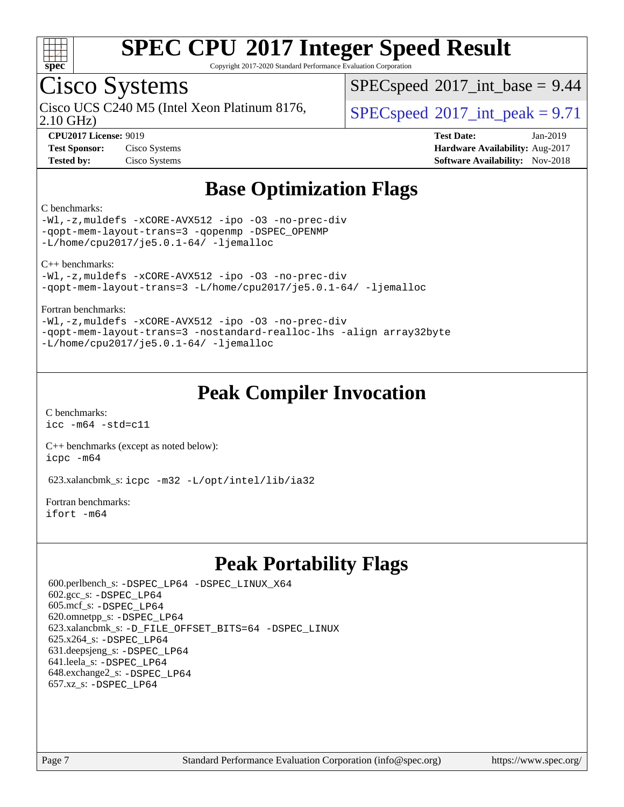

Copyright 2017-2020 Standard Performance Evaluation Corporation

## Cisco Systems

2.10 GHz) Cisco UCS C240 M5 (Intel Xeon Platinum 8176,  $\vert$  [SPECspeed](http://www.spec.org/auto/cpu2017/Docs/result-fields.html#SPECspeed2017intpeak)®[2017\\_int\\_peak = 9](http://www.spec.org/auto/cpu2017/Docs/result-fields.html#SPECspeed2017intpeak).71

 $SPECspeed^{\circ}2017\_int\_base = 9.44$  $SPECspeed^{\circ}2017\_int\_base = 9.44$ 

**[Test Sponsor:](http://www.spec.org/auto/cpu2017/Docs/result-fields.html#TestSponsor)** Cisco Systems **[Hardware Availability:](http://www.spec.org/auto/cpu2017/Docs/result-fields.html#HardwareAvailability)** Aug-2017

**[CPU2017 License:](http://www.spec.org/auto/cpu2017/Docs/result-fields.html#CPU2017License)** 9019 **[Test Date:](http://www.spec.org/auto/cpu2017/Docs/result-fields.html#TestDate)** Jan-2019 **[Tested by:](http://www.spec.org/auto/cpu2017/Docs/result-fields.html#Testedby)** Cisco Systems **[Software Availability:](http://www.spec.org/auto/cpu2017/Docs/result-fields.html#SoftwareAvailability)** Nov-2018

### **[Base Optimization Flags](http://www.spec.org/auto/cpu2017/Docs/result-fields.html#BaseOptimizationFlags)**

#### [C benchmarks:](http://www.spec.org/auto/cpu2017/Docs/result-fields.html#Cbenchmarks)

[-Wl,-z,muldefs](http://www.spec.org/cpu2017/results/res2019q1/cpu2017-20190205-11033.flags.html#user_CCbase_link_force_multiple1_b4cbdb97b34bdee9ceefcfe54f4c8ea74255f0b02a4b23e853cdb0e18eb4525ac79b5a88067c842dd0ee6996c24547a27a4b99331201badda8798ef8a743f577) [-xCORE-AVX512](http://www.spec.org/cpu2017/results/res2019q1/cpu2017-20190205-11033.flags.html#user_CCbase_f-xCORE-AVX512) [-ipo](http://www.spec.org/cpu2017/results/res2019q1/cpu2017-20190205-11033.flags.html#user_CCbase_f-ipo) [-O3](http://www.spec.org/cpu2017/results/res2019q1/cpu2017-20190205-11033.flags.html#user_CCbase_f-O3) [-no-prec-div](http://www.spec.org/cpu2017/results/res2019q1/cpu2017-20190205-11033.flags.html#user_CCbase_f-no-prec-div) [-qopt-mem-layout-trans=3](http://www.spec.org/cpu2017/results/res2019q1/cpu2017-20190205-11033.flags.html#user_CCbase_f-qopt-mem-layout-trans_de80db37974c74b1f0e20d883f0b675c88c3b01e9d123adea9b28688d64333345fb62bc4a798493513fdb68f60282f9a726aa07f478b2f7113531aecce732043) [-qopenmp](http://www.spec.org/cpu2017/results/res2019q1/cpu2017-20190205-11033.flags.html#user_CCbase_qopenmp_16be0c44f24f464004c6784a7acb94aca937f053568ce72f94b139a11c7c168634a55f6653758ddd83bcf7b8463e8028bb0b48b77bcddc6b78d5d95bb1df2967) [-DSPEC\\_OPENMP](http://www.spec.org/cpu2017/results/res2019q1/cpu2017-20190205-11033.flags.html#suite_CCbase_DSPEC_OPENMP) [-L/home/cpu2017/je5.0.1-64/](http://www.spec.org/cpu2017/results/res2019q1/cpu2017-20190205-11033.flags.html#user_CCbase_jemalloc_link_path64_8e927a5f1bdac0405e66c637541874330e08086b5e62a1d024bcf3497e3c64fd173c8afb7d1730d51f6da781ef4c439bdab468bb8364cf71435e0c609fac500c) [-ljemalloc](http://www.spec.org/cpu2017/results/res2019q1/cpu2017-20190205-11033.flags.html#user_CCbase_jemalloc_link_lib_d1249b907c500fa1c0672f44f562e3d0f79738ae9e3c4a9c376d49f265a04b9c99b167ecedbf6711b3085be911c67ff61f150a17b3472be731631ba4d0471706)

[C++ benchmarks](http://www.spec.org/auto/cpu2017/Docs/result-fields.html#CXXbenchmarks):

[-Wl,-z,muldefs](http://www.spec.org/cpu2017/results/res2019q1/cpu2017-20190205-11033.flags.html#user_CXXbase_link_force_multiple1_b4cbdb97b34bdee9ceefcfe54f4c8ea74255f0b02a4b23e853cdb0e18eb4525ac79b5a88067c842dd0ee6996c24547a27a4b99331201badda8798ef8a743f577) [-xCORE-AVX512](http://www.spec.org/cpu2017/results/res2019q1/cpu2017-20190205-11033.flags.html#user_CXXbase_f-xCORE-AVX512) [-ipo](http://www.spec.org/cpu2017/results/res2019q1/cpu2017-20190205-11033.flags.html#user_CXXbase_f-ipo) [-O3](http://www.spec.org/cpu2017/results/res2019q1/cpu2017-20190205-11033.flags.html#user_CXXbase_f-O3) [-no-prec-div](http://www.spec.org/cpu2017/results/res2019q1/cpu2017-20190205-11033.flags.html#user_CXXbase_f-no-prec-div) [-qopt-mem-layout-trans=3](http://www.spec.org/cpu2017/results/res2019q1/cpu2017-20190205-11033.flags.html#user_CXXbase_f-qopt-mem-layout-trans_de80db37974c74b1f0e20d883f0b675c88c3b01e9d123adea9b28688d64333345fb62bc4a798493513fdb68f60282f9a726aa07f478b2f7113531aecce732043) [-L/home/cpu2017/je5.0.1-64/](http://www.spec.org/cpu2017/results/res2019q1/cpu2017-20190205-11033.flags.html#user_CXXbase_jemalloc_link_path64_8e927a5f1bdac0405e66c637541874330e08086b5e62a1d024bcf3497e3c64fd173c8afb7d1730d51f6da781ef4c439bdab468bb8364cf71435e0c609fac500c) [-ljemalloc](http://www.spec.org/cpu2017/results/res2019q1/cpu2017-20190205-11033.flags.html#user_CXXbase_jemalloc_link_lib_d1249b907c500fa1c0672f44f562e3d0f79738ae9e3c4a9c376d49f265a04b9c99b167ecedbf6711b3085be911c67ff61f150a17b3472be731631ba4d0471706)

#### [Fortran benchmarks:](http://www.spec.org/auto/cpu2017/Docs/result-fields.html#Fortranbenchmarks)

[-Wl,-z,muldefs](http://www.spec.org/cpu2017/results/res2019q1/cpu2017-20190205-11033.flags.html#user_FCbase_link_force_multiple1_b4cbdb97b34bdee9ceefcfe54f4c8ea74255f0b02a4b23e853cdb0e18eb4525ac79b5a88067c842dd0ee6996c24547a27a4b99331201badda8798ef8a743f577) [-xCORE-AVX512](http://www.spec.org/cpu2017/results/res2019q1/cpu2017-20190205-11033.flags.html#user_FCbase_f-xCORE-AVX512) [-ipo](http://www.spec.org/cpu2017/results/res2019q1/cpu2017-20190205-11033.flags.html#user_FCbase_f-ipo) [-O3](http://www.spec.org/cpu2017/results/res2019q1/cpu2017-20190205-11033.flags.html#user_FCbase_f-O3) [-no-prec-div](http://www.spec.org/cpu2017/results/res2019q1/cpu2017-20190205-11033.flags.html#user_FCbase_f-no-prec-div) [-qopt-mem-layout-trans=3](http://www.spec.org/cpu2017/results/res2019q1/cpu2017-20190205-11033.flags.html#user_FCbase_f-qopt-mem-layout-trans_de80db37974c74b1f0e20d883f0b675c88c3b01e9d123adea9b28688d64333345fb62bc4a798493513fdb68f60282f9a726aa07f478b2f7113531aecce732043) [-nostandard-realloc-lhs](http://www.spec.org/cpu2017/results/res2019q1/cpu2017-20190205-11033.flags.html#user_FCbase_f_2003_std_realloc_82b4557e90729c0f113870c07e44d33d6f5a304b4f63d4c15d2d0f1fab99f5daaed73bdb9275d9ae411527f28b936061aa8b9c8f2d63842963b95c9dd6426b8a) [-align array32byte](http://www.spec.org/cpu2017/results/res2019q1/cpu2017-20190205-11033.flags.html#user_FCbase_align_array32byte_b982fe038af199962ba9a80c053b8342c548c85b40b8e86eb3cc33dee0d7986a4af373ac2d51c3f7cf710a18d62fdce2948f201cd044323541f22fc0fffc51b6) [-L/home/cpu2017/je5.0.1-64/](http://www.spec.org/cpu2017/results/res2019q1/cpu2017-20190205-11033.flags.html#user_FCbase_jemalloc_link_path64_8e927a5f1bdac0405e66c637541874330e08086b5e62a1d024bcf3497e3c64fd173c8afb7d1730d51f6da781ef4c439bdab468bb8364cf71435e0c609fac500c) [-ljemalloc](http://www.spec.org/cpu2017/results/res2019q1/cpu2017-20190205-11033.flags.html#user_FCbase_jemalloc_link_lib_d1249b907c500fa1c0672f44f562e3d0f79738ae9e3c4a9c376d49f265a04b9c99b167ecedbf6711b3085be911c67ff61f150a17b3472be731631ba4d0471706)

#### **[Peak Compiler Invocation](http://www.spec.org/auto/cpu2017/Docs/result-fields.html#PeakCompilerInvocation)**

[C benchmarks](http://www.spec.org/auto/cpu2017/Docs/result-fields.html#Cbenchmarks): [icc -m64 -std=c11](http://www.spec.org/cpu2017/results/res2019q1/cpu2017-20190205-11033.flags.html#user_CCpeak_intel_icc_64bit_c11_33ee0cdaae7deeeab2a9725423ba97205ce30f63b9926c2519791662299b76a0318f32ddfffdc46587804de3178b4f9328c46fa7c2b0cd779d7a61945c91cd35)

[C++ benchmarks \(except as noted below\):](http://www.spec.org/auto/cpu2017/Docs/result-fields.html#CXXbenchmarksexceptasnotedbelow) [icpc -m64](http://www.spec.org/cpu2017/results/res2019q1/cpu2017-20190205-11033.flags.html#user_CXXpeak_intel_icpc_64bit_4ecb2543ae3f1412ef961e0650ca070fec7b7afdcd6ed48761b84423119d1bf6bdf5cad15b44d48e7256388bc77273b966e5eb805aefd121eb22e9299b2ec9d9)

623.xalancbmk\_s: [icpc -m32 -L/opt/intel/lib/ia32](http://www.spec.org/cpu2017/results/res2019q1/cpu2017-20190205-11033.flags.html#user_peakCXXLD623_xalancbmk_s_intel_icpc_44eae83c1f565e7e266431f067370024ba26559400a3332485578bf716e23841c734f948145e944e2f4b6f3ce32c2c966ea92b66ca79c6f94f301242c0f554cf)

[Fortran benchmarks](http://www.spec.org/auto/cpu2017/Docs/result-fields.html#Fortranbenchmarks): [ifort -m64](http://www.spec.org/cpu2017/results/res2019q1/cpu2017-20190205-11033.flags.html#user_FCpeak_intel_ifort_64bit_24f2bb282fbaeffd6157abe4f878425411749daecae9a33200eee2bee2fe76f3b89351d69a8130dd5949958ce389cf37ff59a95e7a40d588e8d3a57e0c3fd751)

### **[Peak Portability Flags](http://www.spec.org/auto/cpu2017/Docs/result-fields.html#PeakPortabilityFlags)**

 600.perlbench\_s: [-DSPEC\\_LP64](http://www.spec.org/cpu2017/results/res2019q1/cpu2017-20190205-11033.flags.html#b600.perlbench_s_peakPORTABILITY_DSPEC_LP64) [-DSPEC\\_LINUX\\_X64](http://www.spec.org/cpu2017/results/res2019q1/cpu2017-20190205-11033.flags.html#b600.perlbench_s_peakCPORTABILITY_DSPEC_LINUX_X64) 602.gcc\_s: [-DSPEC\\_LP64](http://www.spec.org/cpu2017/results/res2019q1/cpu2017-20190205-11033.flags.html#suite_peakPORTABILITY602_gcc_s_DSPEC_LP64) 605.mcf\_s: [-DSPEC\\_LP64](http://www.spec.org/cpu2017/results/res2019q1/cpu2017-20190205-11033.flags.html#suite_peakPORTABILITY605_mcf_s_DSPEC_LP64) 620.omnetpp\_s: [-DSPEC\\_LP64](http://www.spec.org/cpu2017/results/res2019q1/cpu2017-20190205-11033.flags.html#suite_peakPORTABILITY620_omnetpp_s_DSPEC_LP64) 623.xalancbmk\_s: [-D\\_FILE\\_OFFSET\\_BITS=64](http://www.spec.org/cpu2017/results/res2019q1/cpu2017-20190205-11033.flags.html#user_peakPORTABILITY623_xalancbmk_s_file_offset_bits_64_5ae949a99b284ddf4e95728d47cb0843d81b2eb0e18bdfe74bbf0f61d0b064f4bda2f10ea5eb90e1dcab0e84dbc592acfc5018bc955c18609f94ddb8d550002c) [-DSPEC\\_LINUX](http://www.spec.org/cpu2017/results/res2019q1/cpu2017-20190205-11033.flags.html#b623.xalancbmk_s_peakCXXPORTABILITY_DSPEC_LINUX) 625.x264\_s: [-DSPEC\\_LP64](http://www.spec.org/cpu2017/results/res2019q1/cpu2017-20190205-11033.flags.html#suite_peakPORTABILITY625_x264_s_DSPEC_LP64) 631.deepsjeng\_s: [-DSPEC\\_LP64](http://www.spec.org/cpu2017/results/res2019q1/cpu2017-20190205-11033.flags.html#suite_peakPORTABILITY631_deepsjeng_s_DSPEC_LP64) 641.leela\_s: [-DSPEC\\_LP64](http://www.spec.org/cpu2017/results/res2019q1/cpu2017-20190205-11033.flags.html#suite_peakPORTABILITY641_leela_s_DSPEC_LP64) 648.exchange2\_s: [-DSPEC\\_LP64](http://www.spec.org/cpu2017/results/res2019q1/cpu2017-20190205-11033.flags.html#suite_peakPORTABILITY648_exchange2_s_DSPEC_LP64) 657.xz\_s: [-DSPEC\\_LP64](http://www.spec.org/cpu2017/results/res2019q1/cpu2017-20190205-11033.flags.html#suite_peakPORTABILITY657_xz_s_DSPEC_LP64)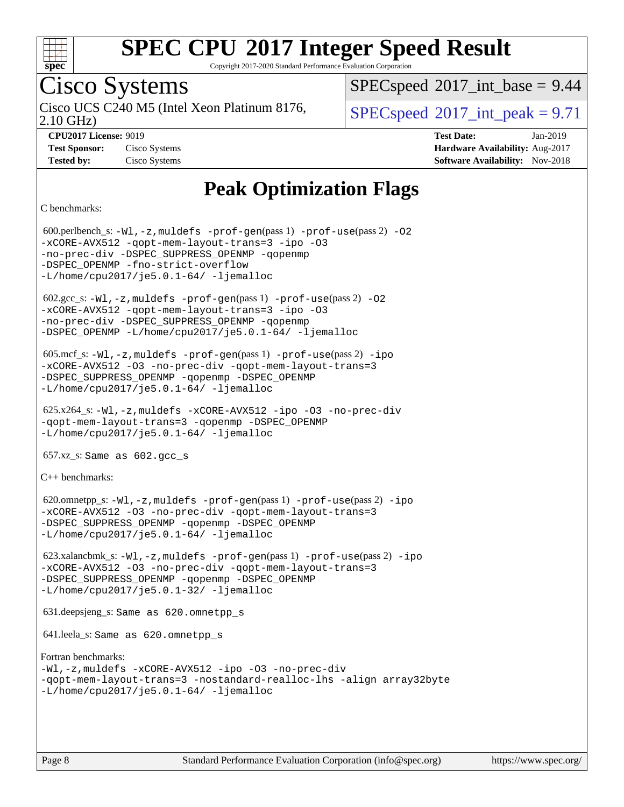

Copyright 2017-2020 Standard Performance Evaluation Corporation

## Cisco Systems

2.10 GHz) Cisco UCS C240 M5 (Intel Xeon Platinum 8176,  $\vert$  [SPECspeed](http://www.spec.org/auto/cpu2017/Docs/result-fields.html#SPECspeed2017intpeak)®[2017\\_int\\_peak = 9](http://www.spec.org/auto/cpu2017/Docs/result-fields.html#SPECspeed2017intpeak).71

 $SPECspeed^{\circ}2017\_int\_base = 9.44$  $SPECspeed^{\circ}2017\_int\_base = 9.44$ 

**[CPU2017 License:](http://www.spec.org/auto/cpu2017/Docs/result-fields.html#CPU2017License)** 9019 **[Test Date:](http://www.spec.org/auto/cpu2017/Docs/result-fields.html#TestDate)** Jan-2019 **[Test Sponsor:](http://www.spec.org/auto/cpu2017/Docs/result-fields.html#TestSponsor)** Cisco Systems **[Hardware Availability:](http://www.spec.org/auto/cpu2017/Docs/result-fields.html#HardwareAvailability)** Aug-2017 **[Tested by:](http://www.spec.org/auto/cpu2017/Docs/result-fields.html#Testedby)** Cisco Systems **[Software Availability:](http://www.spec.org/auto/cpu2017/Docs/result-fields.html#SoftwareAvailability)** Nov-2018

## **[Peak Optimization Flags](http://www.spec.org/auto/cpu2017/Docs/result-fields.html#PeakOptimizationFlags)**

[C benchmarks](http://www.spec.org/auto/cpu2017/Docs/result-fields.html#Cbenchmarks):

 600.perlbench\_s: [-Wl,-z,muldefs](http://www.spec.org/cpu2017/results/res2019q1/cpu2017-20190205-11033.flags.html#user_peakEXTRA_LDFLAGS600_perlbench_s_link_force_multiple1_b4cbdb97b34bdee9ceefcfe54f4c8ea74255f0b02a4b23e853cdb0e18eb4525ac79b5a88067c842dd0ee6996c24547a27a4b99331201badda8798ef8a743f577) [-prof-gen](http://www.spec.org/cpu2017/results/res2019q1/cpu2017-20190205-11033.flags.html#user_peakPASS1_CFLAGSPASS1_LDFLAGS600_perlbench_s_prof_gen_5aa4926d6013ddb2a31985c654b3eb18169fc0c6952a63635c234f711e6e63dd76e94ad52365559451ec499a2cdb89e4dc58ba4c67ef54ca681ffbe1461d6b36)(pass 1) [-prof-use](http://www.spec.org/cpu2017/results/res2019q1/cpu2017-20190205-11033.flags.html#user_peakPASS2_CFLAGSPASS2_LDFLAGS600_perlbench_s_prof_use_1a21ceae95f36a2b53c25747139a6c16ca95bd9def2a207b4f0849963b97e94f5260e30a0c64f4bb623698870e679ca08317ef8150905d41bd88c6f78df73f19)(pass 2) [-O2](http://www.spec.org/cpu2017/results/res2019q1/cpu2017-20190205-11033.flags.html#user_peakPASS1_COPTIMIZE600_perlbench_s_f-O2) [-xCORE-AVX512](http://www.spec.org/cpu2017/results/res2019q1/cpu2017-20190205-11033.flags.html#user_peakPASS2_COPTIMIZE600_perlbench_s_f-xCORE-AVX512) [-qopt-mem-layout-trans=3](http://www.spec.org/cpu2017/results/res2019q1/cpu2017-20190205-11033.flags.html#user_peakPASS1_COPTIMIZEPASS2_COPTIMIZE600_perlbench_s_f-qopt-mem-layout-trans_de80db37974c74b1f0e20d883f0b675c88c3b01e9d123adea9b28688d64333345fb62bc4a798493513fdb68f60282f9a726aa07f478b2f7113531aecce732043) [-ipo](http://www.spec.org/cpu2017/results/res2019q1/cpu2017-20190205-11033.flags.html#user_peakPASS2_COPTIMIZE600_perlbench_s_f-ipo) [-O3](http://www.spec.org/cpu2017/results/res2019q1/cpu2017-20190205-11033.flags.html#user_peakPASS2_COPTIMIZE600_perlbench_s_f-O3) [-no-prec-div](http://www.spec.org/cpu2017/results/res2019q1/cpu2017-20190205-11033.flags.html#user_peakPASS2_COPTIMIZE600_perlbench_s_f-no-prec-div) [-DSPEC\\_SUPPRESS\\_OPENMP](http://www.spec.org/cpu2017/results/res2019q1/cpu2017-20190205-11033.flags.html#suite_peakPASS1_COPTIMIZE600_perlbench_s_DSPEC_SUPPRESS_OPENMP) [-qopenmp](http://www.spec.org/cpu2017/results/res2019q1/cpu2017-20190205-11033.flags.html#user_peakPASS2_COPTIMIZE600_perlbench_s_qopenmp_16be0c44f24f464004c6784a7acb94aca937f053568ce72f94b139a11c7c168634a55f6653758ddd83bcf7b8463e8028bb0b48b77bcddc6b78d5d95bb1df2967) -DSPEC OPENMP [-fno-strict-overflow](http://www.spec.org/cpu2017/results/res2019q1/cpu2017-20190205-11033.flags.html#user_peakEXTRA_OPTIMIZE600_perlbench_s_f-fno-strict-overflow)  $-L/home/cpu2017/$ je5.0.1-64/ [-ljemalloc](http://www.spec.org/cpu2017/results/res2019q1/cpu2017-20190205-11033.flags.html#user_peakEXTRA_LIBS600_perlbench_s_jemalloc_link_lib_d1249b907c500fa1c0672f44f562e3d0f79738ae9e3c4a9c376d49f265a04b9c99b167ecedbf6711b3085be911c67ff61f150a17b3472be731631ba4d0471706)  $602.\text{sec}\text{s}: -W1, -z$ , muldefs  $-\text{prof}-\text{gen}(pass 1) -\text{prof}-\text{use}(pass 2) -02$ [-xCORE-AVX512](http://www.spec.org/cpu2017/results/res2019q1/cpu2017-20190205-11033.flags.html#user_peakPASS2_COPTIMIZE602_gcc_s_f-xCORE-AVX512) [-qopt-mem-layout-trans=3](http://www.spec.org/cpu2017/results/res2019q1/cpu2017-20190205-11033.flags.html#user_peakPASS1_COPTIMIZEPASS2_COPTIMIZE602_gcc_s_f-qopt-mem-layout-trans_de80db37974c74b1f0e20d883f0b675c88c3b01e9d123adea9b28688d64333345fb62bc4a798493513fdb68f60282f9a726aa07f478b2f7113531aecce732043) [-ipo](http://www.spec.org/cpu2017/results/res2019q1/cpu2017-20190205-11033.flags.html#user_peakPASS2_COPTIMIZE602_gcc_s_f-ipo) [-O3](http://www.spec.org/cpu2017/results/res2019q1/cpu2017-20190205-11033.flags.html#user_peakPASS2_COPTIMIZE602_gcc_s_f-O3) [-no-prec-div](http://www.spec.org/cpu2017/results/res2019q1/cpu2017-20190205-11033.flags.html#user_peakPASS2_COPTIMIZE602_gcc_s_f-no-prec-div) [-DSPEC\\_SUPPRESS\\_OPENMP](http://www.spec.org/cpu2017/results/res2019q1/cpu2017-20190205-11033.flags.html#suite_peakPASS1_COPTIMIZE602_gcc_s_DSPEC_SUPPRESS_OPENMP) [-qopenmp](http://www.spec.org/cpu2017/results/res2019q1/cpu2017-20190205-11033.flags.html#user_peakPASS2_COPTIMIZE602_gcc_s_qopenmp_16be0c44f24f464004c6784a7acb94aca937f053568ce72f94b139a11c7c168634a55f6653758ddd83bcf7b8463e8028bb0b48b77bcddc6b78d5d95bb1df2967) [-DSPEC\\_OPENMP](http://www.spec.org/cpu2017/results/res2019q1/cpu2017-20190205-11033.flags.html#suite_peakPASS2_COPTIMIZE602_gcc_s_DSPEC_OPENMP) [-L/home/cpu2017/je5.0.1-64/](http://www.spec.org/cpu2017/results/res2019q1/cpu2017-20190205-11033.flags.html#user_peakEXTRA_LIBS602_gcc_s_jemalloc_link_path64_8e927a5f1bdac0405e66c637541874330e08086b5e62a1d024bcf3497e3c64fd173c8afb7d1730d51f6da781ef4c439bdab468bb8364cf71435e0c609fac500c) [-ljemalloc](http://www.spec.org/cpu2017/results/res2019q1/cpu2017-20190205-11033.flags.html#user_peakEXTRA_LIBS602_gcc_s_jemalloc_link_lib_d1249b907c500fa1c0672f44f562e3d0f79738ae9e3c4a9c376d49f265a04b9c99b167ecedbf6711b3085be911c67ff61f150a17b3472be731631ba4d0471706) 605.mcf\_s: [-Wl,-z,muldefs](http://www.spec.org/cpu2017/results/res2019q1/cpu2017-20190205-11033.flags.html#user_peakEXTRA_LDFLAGS605_mcf_s_link_force_multiple1_b4cbdb97b34bdee9ceefcfe54f4c8ea74255f0b02a4b23e853cdb0e18eb4525ac79b5a88067c842dd0ee6996c24547a27a4b99331201badda8798ef8a743f577) [-prof-gen](http://www.spec.org/cpu2017/results/res2019q1/cpu2017-20190205-11033.flags.html#user_peakPASS1_CFLAGSPASS1_LDFLAGS605_mcf_s_prof_gen_5aa4926d6013ddb2a31985c654b3eb18169fc0c6952a63635c234f711e6e63dd76e94ad52365559451ec499a2cdb89e4dc58ba4c67ef54ca681ffbe1461d6b36)(pass 1) [-prof-use](http://www.spec.org/cpu2017/results/res2019q1/cpu2017-20190205-11033.flags.html#user_peakPASS2_CFLAGSPASS2_LDFLAGS605_mcf_s_prof_use_1a21ceae95f36a2b53c25747139a6c16ca95bd9def2a207b4f0849963b97e94f5260e30a0c64f4bb623698870e679ca08317ef8150905d41bd88c6f78df73f19)(pass 2) [-ipo](http://www.spec.org/cpu2017/results/res2019q1/cpu2017-20190205-11033.flags.html#user_peakPASS1_COPTIMIZEPASS2_COPTIMIZE605_mcf_s_f-ipo) [-xCORE-AVX512](http://www.spec.org/cpu2017/results/res2019q1/cpu2017-20190205-11033.flags.html#user_peakPASS2_COPTIMIZE605_mcf_s_f-xCORE-AVX512) [-O3](http://www.spec.org/cpu2017/results/res2019q1/cpu2017-20190205-11033.flags.html#user_peakPASS1_COPTIMIZEPASS2_COPTIMIZE605_mcf_s_f-O3) [-no-prec-div](http://www.spec.org/cpu2017/results/res2019q1/cpu2017-20190205-11033.flags.html#user_peakPASS1_COPTIMIZEPASS2_COPTIMIZE605_mcf_s_f-no-prec-div) [-qopt-mem-layout-trans=3](http://www.spec.org/cpu2017/results/res2019q1/cpu2017-20190205-11033.flags.html#user_peakPASS1_COPTIMIZEPASS2_COPTIMIZE605_mcf_s_f-qopt-mem-layout-trans_de80db37974c74b1f0e20d883f0b675c88c3b01e9d123adea9b28688d64333345fb62bc4a798493513fdb68f60282f9a726aa07f478b2f7113531aecce732043) [-DSPEC\\_SUPPRESS\\_OPENMP](http://www.spec.org/cpu2017/results/res2019q1/cpu2017-20190205-11033.flags.html#suite_peakPASS1_COPTIMIZE605_mcf_s_DSPEC_SUPPRESS_OPENMP) [-qopenmp](http://www.spec.org/cpu2017/results/res2019q1/cpu2017-20190205-11033.flags.html#user_peakPASS2_COPTIMIZE605_mcf_s_qopenmp_16be0c44f24f464004c6784a7acb94aca937f053568ce72f94b139a11c7c168634a55f6653758ddd83bcf7b8463e8028bb0b48b77bcddc6b78d5d95bb1df2967) [-DSPEC\\_OPENMP](http://www.spec.org/cpu2017/results/res2019q1/cpu2017-20190205-11033.flags.html#suite_peakPASS2_COPTIMIZE605_mcf_s_DSPEC_OPENMP) [-L/home/cpu2017/je5.0.1-64/](http://www.spec.org/cpu2017/results/res2019q1/cpu2017-20190205-11033.flags.html#user_peakEXTRA_LIBS605_mcf_s_jemalloc_link_path64_8e927a5f1bdac0405e66c637541874330e08086b5e62a1d024bcf3497e3c64fd173c8afb7d1730d51f6da781ef4c439bdab468bb8364cf71435e0c609fac500c) [-ljemalloc](http://www.spec.org/cpu2017/results/res2019q1/cpu2017-20190205-11033.flags.html#user_peakEXTRA_LIBS605_mcf_s_jemalloc_link_lib_d1249b907c500fa1c0672f44f562e3d0f79738ae9e3c4a9c376d49f265a04b9c99b167ecedbf6711b3085be911c67ff61f150a17b3472be731631ba4d0471706) 625.x264\_s: [-Wl,-z,muldefs](http://www.spec.org/cpu2017/results/res2019q1/cpu2017-20190205-11033.flags.html#user_peakEXTRA_LDFLAGS625_x264_s_link_force_multiple1_b4cbdb97b34bdee9ceefcfe54f4c8ea74255f0b02a4b23e853cdb0e18eb4525ac79b5a88067c842dd0ee6996c24547a27a4b99331201badda8798ef8a743f577) [-xCORE-AVX512](http://www.spec.org/cpu2017/results/res2019q1/cpu2017-20190205-11033.flags.html#user_peakCOPTIMIZE625_x264_s_f-xCORE-AVX512) [-ipo](http://www.spec.org/cpu2017/results/res2019q1/cpu2017-20190205-11033.flags.html#user_peakCOPTIMIZE625_x264_s_f-ipo) [-O3](http://www.spec.org/cpu2017/results/res2019q1/cpu2017-20190205-11033.flags.html#user_peakCOPTIMIZE625_x264_s_f-O3) [-no-prec-div](http://www.spec.org/cpu2017/results/res2019q1/cpu2017-20190205-11033.flags.html#user_peakCOPTIMIZE625_x264_s_f-no-prec-div) [-qopt-mem-layout-trans=3](http://www.spec.org/cpu2017/results/res2019q1/cpu2017-20190205-11033.flags.html#user_peakCOPTIMIZE625_x264_s_f-qopt-mem-layout-trans_de80db37974c74b1f0e20d883f0b675c88c3b01e9d123adea9b28688d64333345fb62bc4a798493513fdb68f60282f9a726aa07f478b2f7113531aecce732043) [-qopenmp](http://www.spec.org/cpu2017/results/res2019q1/cpu2017-20190205-11033.flags.html#user_peakCOPTIMIZE625_x264_s_qopenmp_16be0c44f24f464004c6784a7acb94aca937f053568ce72f94b139a11c7c168634a55f6653758ddd83bcf7b8463e8028bb0b48b77bcddc6b78d5d95bb1df2967) [-DSPEC\\_OPENMP](http://www.spec.org/cpu2017/results/res2019q1/cpu2017-20190205-11033.flags.html#suite_peakCOPTIMIZE625_x264_s_DSPEC_OPENMP) [-L/home/cpu2017/je5.0.1-64/](http://www.spec.org/cpu2017/results/res2019q1/cpu2017-20190205-11033.flags.html#user_peakEXTRA_LIBS625_x264_s_jemalloc_link_path64_8e927a5f1bdac0405e66c637541874330e08086b5e62a1d024bcf3497e3c64fd173c8afb7d1730d51f6da781ef4c439bdab468bb8364cf71435e0c609fac500c) [-ljemalloc](http://www.spec.org/cpu2017/results/res2019q1/cpu2017-20190205-11033.flags.html#user_peakEXTRA_LIBS625_x264_s_jemalloc_link_lib_d1249b907c500fa1c0672f44f562e3d0f79738ae9e3c4a9c376d49f265a04b9c99b167ecedbf6711b3085be911c67ff61f150a17b3472be731631ba4d0471706)  $657.xz$ \_s: Same as  $602.gcc$ \_s [C++ benchmarks:](http://www.spec.org/auto/cpu2017/Docs/result-fields.html#CXXbenchmarks) 620.omnetpp\_s: [-Wl,-z,muldefs](http://www.spec.org/cpu2017/results/res2019q1/cpu2017-20190205-11033.flags.html#user_peakEXTRA_LDFLAGS620_omnetpp_s_link_force_multiple1_b4cbdb97b34bdee9ceefcfe54f4c8ea74255f0b02a4b23e853cdb0e18eb4525ac79b5a88067c842dd0ee6996c24547a27a4b99331201badda8798ef8a743f577) [-prof-gen](http://www.spec.org/cpu2017/results/res2019q1/cpu2017-20190205-11033.flags.html#user_peakPASS1_CXXFLAGSPASS1_LDFLAGS620_omnetpp_s_prof_gen_5aa4926d6013ddb2a31985c654b3eb18169fc0c6952a63635c234f711e6e63dd76e94ad52365559451ec499a2cdb89e4dc58ba4c67ef54ca681ffbe1461d6b36)(pass 1) [-prof-use](http://www.spec.org/cpu2017/results/res2019q1/cpu2017-20190205-11033.flags.html#user_peakPASS2_CXXFLAGSPASS2_LDFLAGS620_omnetpp_s_prof_use_1a21ceae95f36a2b53c25747139a6c16ca95bd9def2a207b4f0849963b97e94f5260e30a0c64f4bb623698870e679ca08317ef8150905d41bd88c6f78df73f19)(pass 2) [-ipo](http://www.spec.org/cpu2017/results/res2019q1/cpu2017-20190205-11033.flags.html#user_peakPASS1_CXXOPTIMIZEPASS2_CXXOPTIMIZE620_omnetpp_s_f-ipo) [-xCORE-AVX512](http://www.spec.org/cpu2017/results/res2019q1/cpu2017-20190205-11033.flags.html#user_peakPASS2_CXXOPTIMIZE620_omnetpp_s_f-xCORE-AVX512) [-O3](http://www.spec.org/cpu2017/results/res2019q1/cpu2017-20190205-11033.flags.html#user_peakPASS1_CXXOPTIMIZEPASS2_CXXOPTIMIZE620_omnetpp_s_f-O3) [-no-prec-div](http://www.spec.org/cpu2017/results/res2019q1/cpu2017-20190205-11033.flags.html#user_peakPASS1_CXXOPTIMIZEPASS2_CXXOPTIMIZE620_omnetpp_s_f-no-prec-div) [-qopt-mem-layout-trans=3](http://www.spec.org/cpu2017/results/res2019q1/cpu2017-20190205-11033.flags.html#user_peakPASS1_CXXOPTIMIZEPASS2_CXXOPTIMIZE620_omnetpp_s_f-qopt-mem-layout-trans_de80db37974c74b1f0e20d883f0b675c88c3b01e9d123adea9b28688d64333345fb62bc4a798493513fdb68f60282f9a726aa07f478b2f7113531aecce732043) [-DSPEC\\_SUPPRESS\\_OPENMP](http://www.spec.org/cpu2017/results/res2019q1/cpu2017-20190205-11033.flags.html#suite_peakPASS1_CXXOPTIMIZE620_omnetpp_s_DSPEC_SUPPRESS_OPENMP) [-qopenmp](http://www.spec.org/cpu2017/results/res2019q1/cpu2017-20190205-11033.flags.html#user_peakPASS2_CXXOPTIMIZE620_omnetpp_s_qopenmp_16be0c44f24f464004c6784a7acb94aca937f053568ce72f94b139a11c7c168634a55f6653758ddd83bcf7b8463e8028bb0b48b77bcddc6b78d5d95bb1df2967) [-DSPEC\\_OPENMP](http://www.spec.org/cpu2017/results/res2019q1/cpu2017-20190205-11033.flags.html#suite_peakPASS2_CXXOPTIMIZE620_omnetpp_s_DSPEC_OPENMP) [-L/home/cpu2017/je5.0.1-64/](http://www.spec.org/cpu2017/results/res2019q1/cpu2017-20190205-11033.flags.html#user_peakEXTRA_LIBS620_omnetpp_s_jemalloc_link_path64_8e927a5f1bdac0405e66c637541874330e08086b5e62a1d024bcf3497e3c64fd173c8afb7d1730d51f6da781ef4c439bdab468bb8364cf71435e0c609fac500c) [-ljemalloc](http://www.spec.org/cpu2017/results/res2019q1/cpu2017-20190205-11033.flags.html#user_peakEXTRA_LIBS620_omnetpp_s_jemalloc_link_lib_d1249b907c500fa1c0672f44f562e3d0f79738ae9e3c4a9c376d49f265a04b9c99b167ecedbf6711b3085be911c67ff61f150a17b3472be731631ba4d0471706) 623.xalancbmk\_s: [-Wl,-z,muldefs](http://www.spec.org/cpu2017/results/res2019q1/cpu2017-20190205-11033.flags.html#user_peakEXTRA_LDFLAGS623_xalancbmk_s_link_force_multiple1_b4cbdb97b34bdee9ceefcfe54f4c8ea74255f0b02a4b23e853cdb0e18eb4525ac79b5a88067c842dd0ee6996c24547a27a4b99331201badda8798ef8a743f577) [-prof-gen](http://www.spec.org/cpu2017/results/res2019q1/cpu2017-20190205-11033.flags.html#user_peakPASS1_CXXFLAGSPASS1_LDFLAGS623_xalancbmk_s_prof_gen_5aa4926d6013ddb2a31985c654b3eb18169fc0c6952a63635c234f711e6e63dd76e94ad52365559451ec499a2cdb89e4dc58ba4c67ef54ca681ffbe1461d6b36)(pass 1) [-prof-use](http://www.spec.org/cpu2017/results/res2019q1/cpu2017-20190205-11033.flags.html#user_peakPASS2_CXXFLAGSPASS2_LDFLAGS623_xalancbmk_s_prof_use_1a21ceae95f36a2b53c25747139a6c16ca95bd9def2a207b4f0849963b97e94f5260e30a0c64f4bb623698870e679ca08317ef8150905d41bd88c6f78df73f19)(pass 2) [-ipo](http://www.spec.org/cpu2017/results/res2019q1/cpu2017-20190205-11033.flags.html#user_peakPASS1_CXXOPTIMIZEPASS2_CXXOPTIMIZE623_xalancbmk_s_f-ipo) [-xCORE-AVX512](http://www.spec.org/cpu2017/results/res2019q1/cpu2017-20190205-11033.flags.html#user_peakPASS2_CXXOPTIMIZE623_xalancbmk_s_f-xCORE-AVX512) [-O3](http://www.spec.org/cpu2017/results/res2019q1/cpu2017-20190205-11033.flags.html#user_peakPASS1_CXXOPTIMIZEPASS2_CXXOPTIMIZE623_xalancbmk_s_f-O3) [-no-prec-div](http://www.spec.org/cpu2017/results/res2019q1/cpu2017-20190205-11033.flags.html#user_peakPASS1_CXXOPTIMIZEPASS2_CXXOPTIMIZE623_xalancbmk_s_f-no-prec-div) [-qopt-mem-layout-trans=3](http://www.spec.org/cpu2017/results/res2019q1/cpu2017-20190205-11033.flags.html#user_peakPASS1_CXXOPTIMIZEPASS2_CXXOPTIMIZE623_xalancbmk_s_f-qopt-mem-layout-trans_de80db37974c74b1f0e20d883f0b675c88c3b01e9d123adea9b28688d64333345fb62bc4a798493513fdb68f60282f9a726aa07f478b2f7113531aecce732043) [-DSPEC\\_SUPPRESS\\_OPENMP](http://www.spec.org/cpu2017/results/res2019q1/cpu2017-20190205-11033.flags.html#suite_peakPASS1_CXXOPTIMIZE623_xalancbmk_s_DSPEC_SUPPRESS_OPENMP) [-qopenmp](http://www.spec.org/cpu2017/results/res2019q1/cpu2017-20190205-11033.flags.html#user_peakPASS2_CXXOPTIMIZE623_xalancbmk_s_qopenmp_16be0c44f24f464004c6784a7acb94aca937f053568ce72f94b139a11c7c168634a55f6653758ddd83bcf7b8463e8028bb0b48b77bcddc6b78d5d95bb1df2967) [-DSPEC\\_OPENMP](http://www.spec.org/cpu2017/results/res2019q1/cpu2017-20190205-11033.flags.html#suite_peakPASS2_CXXOPTIMIZE623_xalancbmk_s_DSPEC_OPENMP) [-L/home/cpu2017/je5.0.1-32/](http://www.spec.org/cpu2017/results/res2019q1/cpu2017-20190205-11033.flags.html#user_peakEXTRA_LIBS623_xalancbmk_s_jemalloc_link_path32_395839964bb6e7d127dfa41a70bc909a71494bc32f82a1f18d87c6546a5f35ea9c5ad3c111b30f9a5397a6f43b4f43a41cfbf7d188da9198ed16c21920a4a794) [-ljemalloc](http://www.spec.org/cpu2017/results/res2019q1/cpu2017-20190205-11033.flags.html#user_peakEXTRA_LIBS623_xalancbmk_s_jemalloc_link_lib_d1249b907c500fa1c0672f44f562e3d0f79738ae9e3c4a9c376d49f265a04b9c99b167ecedbf6711b3085be911c67ff61f150a17b3472be731631ba4d0471706) 631.deepsjeng\_s: Same as 620.omnetpp\_s 641.leela\_s: Same as 620.omnetpp\_s [Fortran benchmarks](http://www.spec.org/auto/cpu2017/Docs/result-fields.html#Fortranbenchmarks): [-Wl,-z,muldefs](http://www.spec.org/cpu2017/results/res2019q1/cpu2017-20190205-11033.flags.html#user_FCpeak_link_force_multiple1_b4cbdb97b34bdee9ceefcfe54f4c8ea74255f0b02a4b23e853cdb0e18eb4525ac79b5a88067c842dd0ee6996c24547a27a4b99331201badda8798ef8a743f577) [-xCORE-AVX512](http://www.spec.org/cpu2017/results/res2019q1/cpu2017-20190205-11033.flags.html#user_FCpeak_f-xCORE-AVX512) [-ipo](http://www.spec.org/cpu2017/results/res2019q1/cpu2017-20190205-11033.flags.html#user_FCpeak_f-ipo) [-O3](http://www.spec.org/cpu2017/results/res2019q1/cpu2017-20190205-11033.flags.html#user_FCpeak_f-O3) [-no-prec-div](http://www.spec.org/cpu2017/results/res2019q1/cpu2017-20190205-11033.flags.html#user_FCpeak_f-no-prec-div) [-qopt-mem-layout-trans=3](http://www.spec.org/cpu2017/results/res2019q1/cpu2017-20190205-11033.flags.html#user_FCpeak_f-qopt-mem-layout-trans_de80db37974c74b1f0e20d883f0b675c88c3b01e9d123adea9b28688d64333345fb62bc4a798493513fdb68f60282f9a726aa07f478b2f7113531aecce732043) [-nostandard-realloc-lhs](http://www.spec.org/cpu2017/results/res2019q1/cpu2017-20190205-11033.flags.html#user_FCpeak_f_2003_std_realloc_82b4557e90729c0f113870c07e44d33d6f5a304b4f63d4c15d2d0f1fab99f5daaed73bdb9275d9ae411527f28b936061aa8b9c8f2d63842963b95c9dd6426b8a) [-align array32byte](http://www.spec.org/cpu2017/results/res2019q1/cpu2017-20190205-11033.flags.html#user_FCpeak_align_array32byte_b982fe038af199962ba9a80c053b8342c548c85b40b8e86eb3cc33dee0d7986a4af373ac2d51c3f7cf710a18d62fdce2948f201cd044323541f22fc0fffc51b6)  $-L/home/cpu2017/je5.0.1-64/ -ljemalloc$  $-L/home/cpu2017/je5.0.1-64/ -ljemalloc$  $-L/home/cpu2017/je5.0.1-64/ -ljemalloc$